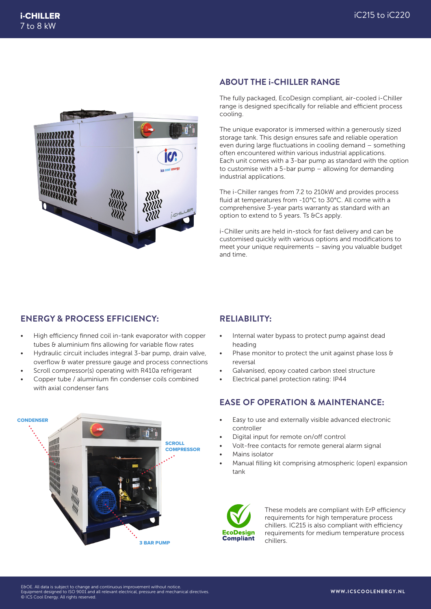

#### **ABOUT THE i-CHILLER RANGE**

The fully packaged, EcoDesign compliant, air-cooled i-Chiller range is designed specifically for reliable and efficient process cooling.

The unique evaporator is immersed within a generously sized storage tank. This design ensures safe and reliable operation even during large fluctuations in cooling demand – something often encountered within various industrial applications. Each unit comes with a 3-bar pump as standard with the option to customise with a 5-bar pump – allowing for demanding industrial applications.

The i-Chiller ranges from 7.2 to 210kW and provides process fluid at temperatures from -10°C to 30°C. All come with a comprehensive 3-year parts warranty as standard with an option to extend to 5 years. Ts &Cs apply.

i-Chiller units are held in-stock for fast delivery and can be customised quickly with various options and modifications to meet your unique requirements – saving you valuable budget and time.

### **ENERGY & PROCESS EFFICIENCY:**

- High efficiency finned coil in-tank evaporator with copper tubes & aluminium fins allowing for variable flow rates
- Hydraulic circuit includes integral 3-bar pump, drain valve, overflow & water pressure gauge and process connections
- Scroll compressor(s) operating with R410a refrigerant
- Copper tube / aluminium fin condenser coils combined with axial condenser fans

# **RELIABILITY:**

- Internal water bypass to protect pump against dead heading
- Phase monitor to protect the unit against phase loss & reversal
- Galvanised, epoxy coated carbon steel structure
- Electrical panel protection rating: IP44

# **EASE OF OPERATION & MAINTENANCE:**

- Easy to use and externally visible advanced electronic controller
- Digital input for remote on/off control
- Volt-free contacts for remote general alarm signal
- Mains isolator
- Manual filling kit comprising atmospheric (open) expansion tank



These models are compliant with ErP efficiency requirements for high temperature process chillers. IC215 is also compliant with efficiency requirements for medium temperature process chillers.

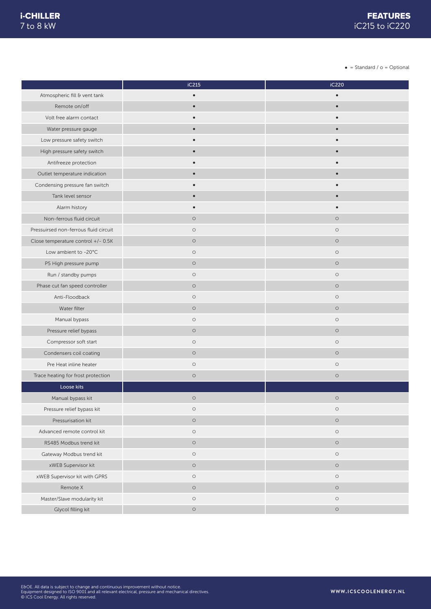$\bullet$  = Standard /  $\circ$  = Optional

|                                       | iC215     | iC220      |
|---------------------------------------|-----------|------------|
| Atmospheric fill & vent tank          | $\bullet$ | $\bullet$  |
| Remote on/off                         | $\bullet$ | $\bullet$  |
| Volt free alarm contact               | $\bullet$ | $\bullet$  |
| Water pressure gauge                  | $\bullet$ |            |
| Low pressure safety switch            |           |            |
| High pressure safety switch           | $\bullet$ | $\bullet$  |
| Antifreeze protection                 | $\bullet$ |            |
| Outlet temperature indication         | $\bullet$ | $\bullet$  |
| Condensing pressure fan switch        |           |            |
| Tank level sensor                     | $\bullet$ | $\bullet$  |
| Alarm history                         | $\bullet$ |            |
| Non-ferrous fluid circuit             | $\circ$   | $\circ$    |
| Pressuirsed non-ferrous fluid circuit | $\circ$   | $\circ$    |
| Close temperature control +/- 0.5K    | $\circ$   | $\circ$    |
| Low ambient to -20°C                  | $\circ$   | $\circ$    |
| P5 High pressure pump                 | $\circ$   | $\circ$    |
| Run / standby pumps                   | $\circ$   | $\circ$    |
| Phase cut fan speed controller        | $\circ$   | $\circ$    |
| Anti-Floodback                        | $\circ$   | $\circ$    |
| Water filter                          | $\circ$   | $\circ$    |
| Manual bypass                         | $\circ$   | $\circ$    |
| Pressure relief bypass                | $\circ$   | $\circ$    |
| Compressor soft start                 | $\circ$   | $\circ$    |
| Condensers coil coating               | $\circ$   | $\circ$    |
| Pre Heat inline heater                | $\circ$   | $\circ$    |
| Trace heating for frost protection    | $\circ$   | $\circ$    |
| Loose kits                            |           |            |
| Manual bypass kit                     | $\circ$   | $\circ$    |
| Pressure relief bypass kit            | $\circ$   | $\circ$    |
| Pressurisation kit                    | $\circ$   | $\circ$    |
| Advanced remote control kit           | $\circ$   | $\bigcirc$ |
| RS485 Modbus trend kit                | $\circ$   | $\circ$    |
| Gateway Modbus trend kit              | $\circ$   | $\circ$    |
| xWEB Supervisor kit                   | $\circ$   | $\circ$    |
| xWEB Supervisor kit with GPRS         | $\circ$   | $\circ$    |
| Remote X                              | $\circ$   | $\circ$    |
| Master/Slave modularity kit           | $\circ$   | $\circ$    |
| Glycol filling kit                    | $\circ$   | $\circ$    |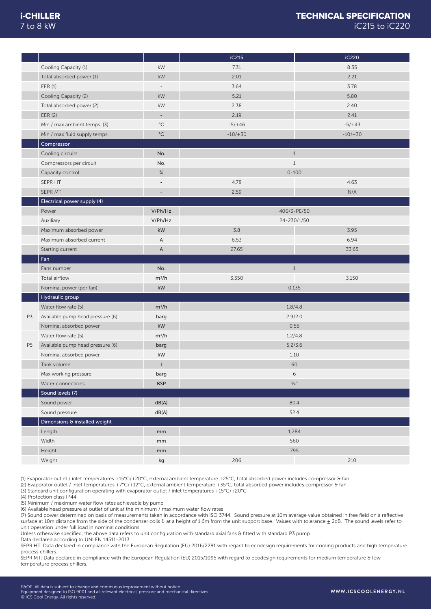#### i-CHILLER TECHNICAL SPECIFICATION 7 to 8 kW iC215 to iC220

|                |                                  |                          | iC215        | iC220       |
|----------------|----------------------------------|--------------------------|--------------|-------------|
|                | Cooling Capacity (1)             | kW                       | 7.31         | 8.35        |
|                | Total absorbed power (1)         | $\mathsf{k}\mathsf{W}$   | 2.01         | 2.21        |
|                | EER(1)                           | $\overline{\phantom{a}}$ | 3.64         | 3.78        |
|                | Cooling Capacity (2)             | $\mathsf{k}\mathsf{W}$   | 5.21         | 5.80        |
|                | Total absorbed power (2)         | kW                       | 2.38         | 2.40        |
|                | EER (2)                          | $\overline{\phantom{a}}$ | 2.19         | 2.41        |
|                | Min / max ambient temps. (3)     | $^{\circ}$ C             | $-5/+46$     | $-5/+43$    |
|                | Min / max fluid supply temps.    | $^{\circ}$ C             | $-10/ + 30$  | $-10/ + 30$ |
|                | Compressor                       |                          |              |             |
|                | Cooling circuits                 | No.                      | $\mathbf{1}$ |             |
|                | Compressors per circuit          | No.                      | $1\,$        |             |
|                | Capacity control                 | $\%$                     | $0 - 100$    |             |
|                | SEPR HT                          | $\qquad \qquad -$        | 4.78         | 4.63        |
|                | SEPR MT                          | ÷,                       | 2.59         | N/A         |
|                | Electrical power supply (4)      |                          |              |             |
|                | Power                            | V/Ph/Hz                  | 400/3-PE/50  |             |
|                | Auxiliary                        | V/Ph/Hz                  | 24-230/1/50  |             |
|                | Maximum absorbed power           | $\mathsf{k}\mathsf{W}$   | 3.8          | 3.95        |
|                | Maximum absorbed current         | Α                        | 6.53         | 6.94        |
|                | Starting current                 | $\mathsf A$              | 27.65        | 33.65       |
|                | Fan                              |                          |              |             |
|                | Fans number                      | No.                      | $1\,$        |             |
|                | Total airflow                    | $m^3/h$                  | 3,350        | 3,150       |
|                | Nominal power (per fan)          | kW                       | 0.135        |             |
|                | Hydraulic group                  |                          |              |             |
|                |                                  |                          |              |             |
|                |                                  |                          |              |             |
|                | Water flow rate (5)              | $m^3/h$                  | 1.8/4.8      |             |
| P3             | Available pump head pressure (6) | barg                     | 2.9/2.0      |             |
|                | Nominal absorbed power           | $\mathsf{k}\mathsf{W}$   | 0.55         |             |
|                | Water flow rate (5)              | $m^3/h$                  | 1.2/4.8      |             |
| P <sub>5</sub> | Available pump head pressure (6) | barg                     | 5.2/3.6      |             |
|                | Nominal absorbed power           | kW                       | 1.10         |             |
|                | Tank volume                      | t                        | 60           |             |
|                | Max working pressure             | barg                     | 6            |             |
|                | Water connections                | <b>BSP</b>               | 3/4          |             |
|                | Sound levels (7)                 |                          |              |             |
|                | Sound power                      | dB(A)                    | 80.4         |             |
|                | Sound pressure                   | dB(A)                    | 52.4         |             |
|                | Dimensions & installed weight    |                          |              |             |
|                | Length                           | mm                       | 1,284        |             |
|                | Width                            | mm                       | 560          |             |
|                | Height                           | mm                       | 795          |             |

(1) Evaporator outlet / inlet temperatures +15°C/+20°C, external ambient temperature +25°C, total absorbed power includes compressor & fan

(2) Evaporator outlet / inlet temperatures +7°C/+12°C, external ambient temperature +35°C, total absorbed power includes compressor & fan

(3) Standard unit configuration operating with evaporator outlet / inlet temperatures +15°C/+20°C

(4) Protection class IP44

(5) Minimum / maximum water flow rates achievable by pump

(6) Available head pressure at outlet of unit at the minimum / maximum water flow rates

(7) Sound power determined on basis of measurements taken in accordance with ISO 3744. Sound pressure at 10m average value obtained in free field on a reflective surface at 10m distance from the side of the condenser coils & at a height of 1.6m from the unit support base. Values with tolerance  $\pm$  2dB. The sound levels refer to unit operation under full load in nominal conditions.

Unless otherwise specified, the above data refers to unit configuration with standard axial fans & fitted with standard P3 pump.

Data declared according to UNI EN 14511-2013.

SEPR HT: Data declared in compliance with the European Regulation (EU) 2016/2281 with regard to ecodesign requirements for cooling products and high temperature process chillers.

SEPR MT: Data declared in compliance with the European Regulation (EU) 2015/1095 with regard to ecodesign requirements for medium temperature & low temperature process chillers.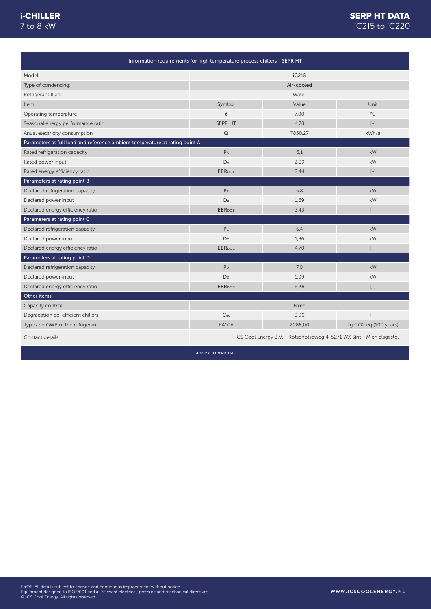#### i-CHILLER 7 to 8 kW

|                                                                             | Information requirements for high temperature process chillers - SEPR HT |         |                                                                                                                                                                                                                     |
|-----------------------------------------------------------------------------|--------------------------------------------------------------------------|---------|---------------------------------------------------------------------------------------------------------------------------------------------------------------------------------------------------------------------|
| Model:                                                                      | iC215                                                                    |         |                                                                                                                                                                                                                     |
| Type of condensing:                                                         | Air-cooled                                                               |         |                                                                                                                                                                                                                     |
| Refrigerant fluid:                                                          | Water                                                                    |         |                                                                                                                                                                                                                     |
| Item                                                                        | Symbol                                                                   | Value   | Unit                                                                                                                                                                                                                |
| Operating temperature                                                       | t                                                                        | 7,00    | $^{\circ}$ C                                                                                                                                                                                                        |
| Seasonal energy performance ratio                                           | SEPR HT                                                                  | 4,78    | $\left[ -\right] % \begin{minipage}[b]{.45\linewidth} \centering \includegraphics[width=\textwidth]{figs/fig_4b}% \caption{The average number of times in the left and right.} \label{fig:fig_4b}% \end{minipage}%$ |
| Anual electricity consumption                                               | $\mathsf Q$                                                              | 7850,27 | kWh/a                                                                                                                                                                                                               |
| Parameters at full load and reference ambient temperature at rating point A |                                                                          |         |                                                                                                                                                                                                                     |
| Rated refrigeration capacity                                                | $P_A$                                                                    | 5,1     | kW                                                                                                                                                                                                                  |
| Rated power input                                                           | $D_A$                                                                    | 2,09    | kW                                                                                                                                                                                                                  |
| Rated energy efficiency ratio                                               | EER <sub>DC,A</sub>                                                      | 2,44    | $\left[ -\right]$                                                                                                                                                                                                   |
| Parameters at rating point B                                                |                                                                          |         |                                                                                                                                                                                                                     |
| Declared refrigeration capacity                                             | P <sub>B</sub>                                                           | 5,8     | kW                                                                                                                                                                                                                  |
| Declared power input                                                        | <b>D</b> <sub>B</sub>                                                    | 1,69    | kW                                                                                                                                                                                                                  |
| Declared energy efficiency ratio                                            | EERDC,B                                                                  | 3,43    | $\left[ -\right]$                                                                                                                                                                                                   |
| Parameters at rating point C                                                |                                                                          |         |                                                                                                                                                                                                                     |
| Declared refrigeration capacity                                             | P <sub>c</sub>                                                           | 6,4     | kW                                                                                                                                                                                                                  |
| Declared power input                                                        | Dc                                                                       | 1,36    | kW                                                                                                                                                                                                                  |
| Declared energy efficiency ratio                                            | EERpc.c                                                                  | 4.70    | $\left[ -\right]$                                                                                                                                                                                                   |
| Parameters at rating point D                                                |                                                                          |         |                                                                                                                                                                                                                     |
| Declared refrigeration capacity                                             | P <sub>D</sub>                                                           | 7,0     | kW                                                                                                                                                                                                                  |
| Declared power input                                                        | D <sub>D</sub>                                                           | 1,09    | kW                                                                                                                                                                                                                  |
| Declared energy efficiency ratio                                            | EER <sub>pc.p</sub>                                                      | 6,38    | $\left[ -\right] % \begin{minipage}[b]{.45\linewidth} \centering \includegraphics[width=\textwidth]{figs/fig_4b}% \caption{The average number of times in the left and right.} \label{fig:7} \end{minipage}%$       |
| Other items                                                                 |                                                                          |         |                                                                                                                                                                                                                     |
| Capacity control                                                            |                                                                          | Fixed   |                                                                                                                                                                                                                     |
| Degradation co-efficient chillers                                           | $C_{dc}$                                                                 | 0,90    | $\left[ -\right]$                                                                                                                                                                                                   |
| Type and GWP of the refrigerant                                             | <b>R410A</b>                                                             | 2088,00 | kg CO2 eg (100 years)                                                                                                                                                                                               |
| Contact details                                                             | ICS Cool Energy B.V. - Rotschotseweg 4, 5271 WX Sint - Michielsgestel    |         |                                                                                                                                                                                                                     |

annex to manual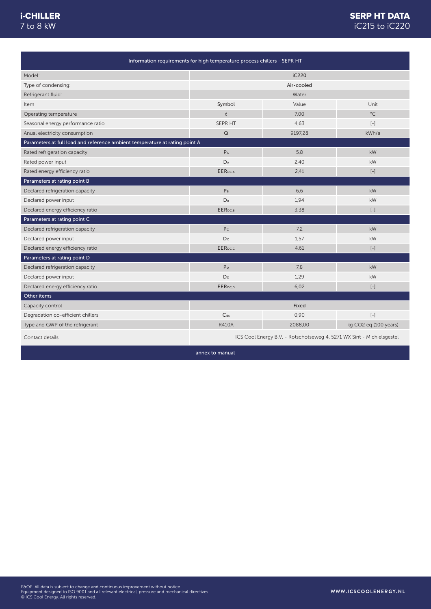#### i-CHILLER 7 to 8 kW

## SERP HT DATA iC215 to iC220

| Information requirements for high temperature process chillers - SEPR HT    |                                                                       |         |                                                                                                                                                                                                                                                                                                                                                                                                                                                                                                                                    |
|-----------------------------------------------------------------------------|-----------------------------------------------------------------------|---------|------------------------------------------------------------------------------------------------------------------------------------------------------------------------------------------------------------------------------------------------------------------------------------------------------------------------------------------------------------------------------------------------------------------------------------------------------------------------------------------------------------------------------------|
| Model:                                                                      | iC220                                                                 |         |                                                                                                                                                                                                                                                                                                                                                                                                                                                                                                                                    |
| Type of condensing:                                                         | Air-cooled                                                            |         |                                                                                                                                                                                                                                                                                                                                                                                                                                                                                                                                    |
| Refrigerant fluid:                                                          | Water                                                                 |         |                                                                                                                                                                                                                                                                                                                                                                                                                                                                                                                                    |
| Item                                                                        | Symbol                                                                | Value   | Unit                                                                                                                                                                                                                                                                                                                                                                                                                                                                                                                               |
| Operating temperature                                                       | $\mathfrak{t}$                                                        | 7.00    | $^{\circ}$ C                                                                                                                                                                                                                                                                                                                                                                                                                                                                                                                       |
| Seasonal energy performance ratio                                           | SEPR HT                                                               | 4,63    | $[-]$                                                                                                                                                                                                                                                                                                                                                                                                                                                                                                                              |
| Anual electricity consumption                                               | $\mathsf Q$                                                           | 9197,28 | kWh/a                                                                                                                                                                                                                                                                                                                                                                                                                                                                                                                              |
| Parameters at full load and reference ambient temperature at rating point A |                                                                       |         |                                                                                                                                                                                                                                                                                                                                                                                                                                                                                                                                    |
| Rated refrigeration capacity                                                | $P_A$                                                                 | 5,8     | kW                                                                                                                                                                                                                                                                                                                                                                                                                                                                                                                                 |
| Rated power input                                                           | $\mathsf{D}_\mathsf{A}$                                               | 2,40    | kW                                                                                                                                                                                                                                                                                                                                                                                                                                                                                                                                 |
| Rated energy efficiency ratio                                               | EER <sub>DC,A</sub>                                                   | 2,41    | $\left[ -\right] % \begin{minipage}[b]{.45\linewidth} \centering \includegraphics[width=\textwidth]{figs/fig_4b-1} \caption{The number of times in the left and right.} \label{fig:2b-1} \end{minipage} \vspace{0.05\linewidth} \vspace{0.05\linewidth} \vspace{0.05\linewidth} \vspace{0.05\linewidth} \vspace{0.05\linewidth} \vspace{0.05\linewidth} \vspace{0.05\linewidth} \vspace{0.05\linewidth} \vspace{0.05\linewidth} \vspace{0.05\linewidth} \vspace{0.05\linewidth} \vspace{0.05\linewidth} \vspace{0.05\linewidth} \$ |
| Parameters at rating point B                                                |                                                                       |         |                                                                                                                                                                                                                                                                                                                                                                                                                                                                                                                                    |
| Declared refrigeration capacity                                             | P <sub>B</sub>                                                        | 6,6     | kW                                                                                                                                                                                                                                                                                                                                                                                                                                                                                                                                 |
| Declared power input                                                        | D <sub>B</sub>                                                        | 1,94    | kW                                                                                                                                                                                                                                                                                                                                                                                                                                                                                                                                 |
| Declared energy efficiency ratio                                            | EER <sub>DC,B</sub>                                                   | 3,38    | $\left[ -\right]$                                                                                                                                                                                                                                                                                                                                                                                                                                                                                                                  |
| Parameters at rating point C                                                |                                                                       |         |                                                                                                                                                                                                                                                                                                                                                                                                                                                                                                                                    |
| Declared refrigeration capacity                                             | P <sub>C</sub>                                                        | 7,2     | kW                                                                                                                                                                                                                                                                                                                                                                                                                                                                                                                                 |
| Declared power input                                                        | Dc                                                                    | 1,57    | kW                                                                                                                                                                                                                                                                                                                                                                                                                                                                                                                                 |
| Declared energy efficiency ratio                                            | EER <sub>pc.c</sub>                                                   | 4,61    | $\left[ -\right] % \begin{minipage}[b]{.45\linewidth} \centering \includegraphics[width=\textwidth]{figs/fig_4b-1} \caption{The number of times in the left and right.} \label{fig:2b-1} \end{minipage} \vspace{0.05\linewidth} \vspace{0.05\linewidth} \vspace{0.05\linewidth} \vspace{0.05\linewidth} \vspace{0.05\linewidth} \vspace{0.05\linewidth} \vspace{0.05\linewidth} \vspace{0.05\linewidth} \vspace{0.05\linewidth} \vspace{0.05\linewidth} \vspace{0.05\linewidth} \vspace{0.05\linewidth} \vspace{0.05\linewidth} \$ |
| Parameters at rating point D                                                |                                                                       |         |                                                                                                                                                                                                                                                                                                                                                                                                                                                                                                                                    |
| Declared refrigeration capacity                                             | P <sub>D</sub>                                                        | 7.8     | kW                                                                                                                                                                                                                                                                                                                                                                                                                                                                                                                                 |
| Declared power input                                                        | D <sub>D</sub>                                                        | 1,29    | kW                                                                                                                                                                                                                                                                                                                                                                                                                                                                                                                                 |
| Declared energy efficiency ratio                                            | EERpc.p                                                               | 6,02    | $\left[ -\right] % \begin{minipage}[b]{.45\linewidth} \centering \includegraphics[width=\textwidth]{figs/fig_4b}% \caption{The average number of times in the left and right.} \label{fig:fig_4b}% \end{minipage}%$                                                                                                                                                                                                                                                                                                                |
| Other items                                                                 |                                                                       |         |                                                                                                                                                                                                                                                                                                                                                                                                                                                                                                                                    |
| Capacity control                                                            |                                                                       | Fixed   |                                                                                                                                                                                                                                                                                                                                                                                                                                                                                                                                    |
| Degradation co-efficient chillers                                           | $C_{dc}$                                                              | 0,90    | $\left[ -\right]$                                                                                                                                                                                                                                                                                                                                                                                                                                                                                                                  |
| Type and GWP of the refrigerant                                             | <b>R410A</b>                                                          | 2088,00 | kg CO2 eq (100 years)                                                                                                                                                                                                                                                                                                                                                                                                                                                                                                              |
| Contact details                                                             | ICS Cool Energy B.V. - Rotschotseweg 4, 5271 WX Sint - Michielsgestel |         |                                                                                                                                                                                                                                                                                                                                                                                                                                                                                                                                    |

annex to manual